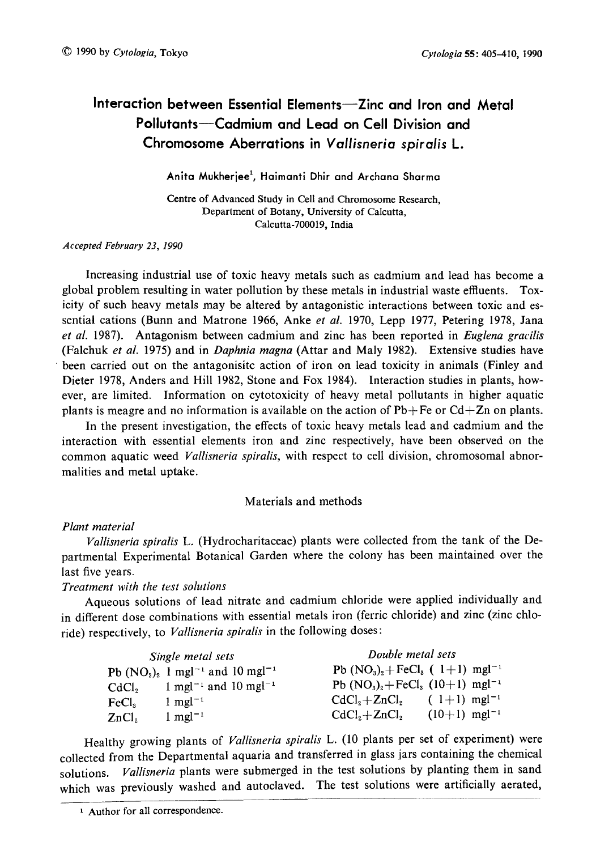# Interaction between Essential Elements-Zinc and Iron and Metal Pollutants-Cadmium and Lead on Cell Division and Chromosome Aberrations in Vallisneria spiralis L.

Anita Mukherjee<sup>1</sup>, Haimanti Dhir and Archana Sharma

Centre of Advanced Study in Cell and Chromosome Research, Department of Botany, University of Calcutta, Calcutta-700019, India

Accepted February 23, 1990

Increasing industrial use of toxic heavy metals such as cadmium and lead has become a global problem resulting in water pollution by these metals in industrial waste effluents. Tox icity of such heavy metals may be altered by antagonistic interactions between toxic and es sential cations (Bunn and Matrone 1966, Anke et al. 1970, Lepp 1977, Petering 1978, Jana et al. 1987). Antagonism between cadmium and zinc has been reported in Euglena gracilis (Falchuk et al. 1975) and in Daphnia magna (Attar and Maly 1982). Extensive studies have been carried out on the antagonisitc action of iron on lead toxicity in animals (Finley and Dieter 1978, Anders and Hill 1982, Stone and Fox 1984). Interaction studies in plants, how ever, are limited. Information on cytotoxicity of heavy metal pollutants in higher aquatic plants is meagre and no information is available on the action of  $Pb+Fe$  or  $Cd+Zn$  on plants.

In the present investigation, the effects of toxic heavy metals lead and cadmium and the interaction with essential elements iron and zinc respectively, have been observed on the common aquatic weed Vallisneria spiralis, with respect to cell division, chromosomal abnormalities and metal uptake.

# Materials and methods

## Plant material

Vallisneria spiralis L. (Hydrocharitaceae) plants were collected from the tank of the De partmental Experimental Botanical Garden where the colony has been maintained over the last five years.

Treatment with the test solutions

Aqueous solutions of lead nitrate and cadmium chloride were applied individually and in different dose combinations with essential metals iron (ferric chloride) and zinc (zinc chlo ride) respectively, to Vallisneria spiralis in the following doses:

|                   | Single metal sets                                          | Double metal sets                                 |                            |  |
|-------------------|------------------------------------------------------------|---------------------------------------------------|----------------------------|--|
|                   | Pb $(NO_3)_2$ 1 mgl <sup>-1</sup> and 10 mgl <sup>-1</sup> | Pb $(NO3)2+FeCl3$ ( 1+1) mgl <sup>-1</sup>        |                            |  |
| CdCl。             | 1 mgl <sup>-1</sup> and 10 mgl <sup>-1</sup>               | Pb $(NO_3)_2 + FeCl_3$ $(10+1)$ mgl <sup>-1</sup> |                            |  |
| FeCl <sub>s</sub> | $1$ mgl <sup>-1</sup>                                      | $CdCl2+ZnCl2$                                     | $(1+1)$ mgl <sup>-1</sup>  |  |
| ZnCl <sub>2</sub> | $1 \text{ mgl}^{-1}$                                       | $CdCl2+ZnCl2$                                     | $(10+1)$ mgl <sup>-1</sup> |  |

Healthy growing plants of *Vallisneria spiralis* L. (10 plants per set of experiment) were collected from the Departmental aquaria and transferred in glass jars containing the chemical solutions. *Vallisneria* plants were submerged in the test solutions by planting them in sand which was previously washed and autoclaved. The test solutions were artificially aerated,

<sup>1</sup> Author for all correspondence.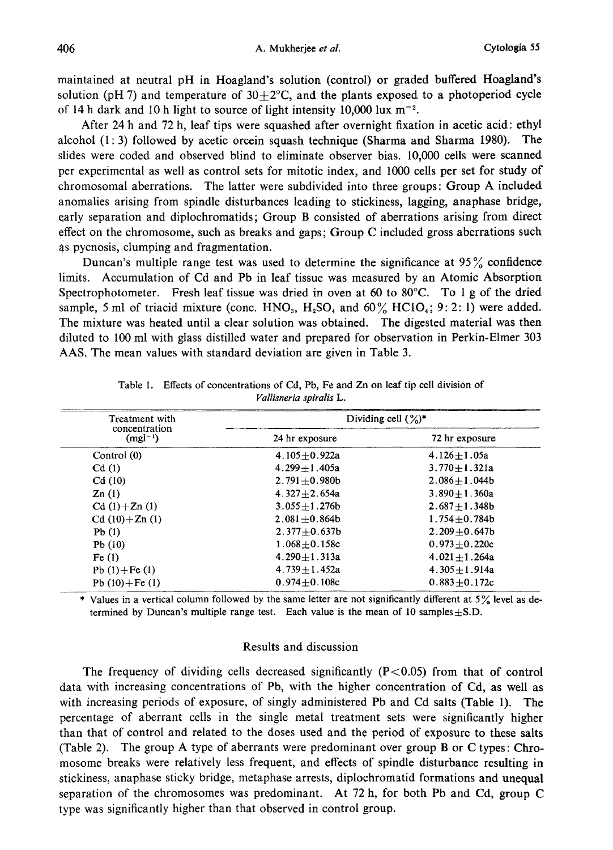maintained at neutral pH in Hoagland's solution (control) or graded buffered Hoagland's solution (pH 7) and temperature of  $30+2^{\circ}$ C, and the plants exposed to a photoperiod cycle of 14 h dark and 10 h light to source of light intensity 10,000 lux  $m^{-2}$ .

After 24h and 72h, leaf tips were squashed after overnight fixation in acetic acid: ethyl alcohol (1:3) followed by acetic orcein squash technique (Sharma and Sharma 1980). The slides were coded and observed blind to eliminate observer bias. 10,000 cells were scanned per experimental as well as control sets for mitotic index, and 1000 cells per set for study of chromosomal aberrations. The latter were subdivided into three groups: Group A included anomalies arising from spindle disturbances leading to stickiness, lagging, anaphase bridge, early separation and diplochromatids; Group B consisted of aberrations arising from direct effect on the chromosome, such as breaks and gaps; Group C included gross aberrations such 4s pycnosis, clumping and fragmentation.

Duncan's multiple range test was used to determine the significance at 95% confidence limits. Accumulation of Cd and Pb in leaf tissue was measured by an Atomic Absorption Spectrophotometer. Fresh leaf tissue was dried in oven at 60 to 80 $^{\circ}$ C. To 1 g of the dried sample, 5 ml of triacid mixture (conc. HNO<sub>3</sub>, H<sub>2</sub>SO<sub>4</sub> and 60% HClO<sub>4</sub>; 9:2:1) were added. The mixture was heated until a clear solution was obtained. The digested material was then diluted to 100ml with glass distilled water and prepared for observation in Perkin-Elmer 303 AAS. The mean values with standard deviation are given in Table 3.

| Treatment with                |                    | Dividing cell $(\%)^*$ |
|-------------------------------|--------------------|------------------------|
| concentration<br>$(mgl^{-1})$ | 24 hr exposure     | 72 hr exposure         |
| Control (0)                   | $4.105 + 0.922a$   | $4.126 + 1.05a$        |
| Cd(1)                         | $4.299 + 1.405a$   | $3.770 + 1.321a$       |
| Cd(10)                        | $2.791 + 0.980b$   | $2.086 + 1.044b$       |
| Zn(1)                         | 4.327 $\pm$ 2.654a | $3.890 + 1.360a$       |
| $Cd(1)+Zn(1)$                 | $3.055 + 1.276b$   | $2.687 + 1.348b$       |
| $Cd(10)+Zn(1)$                | $2.081 + 0.864b$   | $1.754 + 0.784b$       |
| Pb(1)                         | $2.377 + 0.637b$   | $2.209 + 0.647$        |
| Pb(10)                        | $1.068 + 0.158c$   | $0.973 + 0.220c$       |
| Fe(1)                         | $4.290 + 1.313a$   | $4.021 + 1.264a$       |
| Pb $(1) + Fe(1)$              | $4.739 + 1.452a$   | $4.305 + 1.914a$       |
| Pb $(10) + Fe(1)$             | $0.974 + 0.108c$   | $0.883 + 0.172c$       |

Table 1. Effects of concentrations of Cd, Pb, Fe and Zn on leaf tip cell division of Vallisneria spiralis L.

\* Values in a vertical column followed by the same letter are not significantly different at 5% level as de termined by Duncan's multiple range test. Each value is the mean of 10 samples $\pm$ S.D.

#### Results and discussion

The frequency of dividing cells decreased significantly  $(P<0.05)$  from that of control data with increasing concentrations of Pb, with the higher concentration of Cd, as well as with increasing periods of exposure, of singly administered Pb and Cd salts (Table 1). The percentage of aberrant cells in the single metal treatment sets were significantly higher than that of control and related to the doses used and the period of exposure to these salts (Table 2). The group A type of aberrants were predominant over group B or C types: Chro mosome breaks were relatively less frequent, and effects of spindle disturbance resulting in stickiness, anaphase sticky bridge, metaphase arrests, diplochromatid formations and unequal separation of the chromosomes was predominant. At 72 h, for both Pb and Cd, group C type was significantly higher than that observed in control group.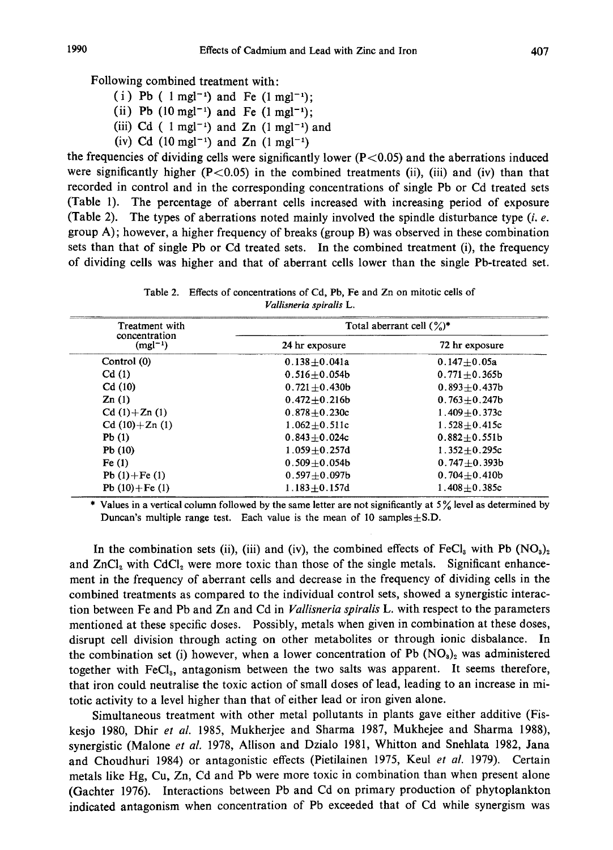Following combined treatment with:

- (i) Pb ( $1 \text{ mgl}^{-1}$ ) and Fe ( $1 \text{ mgl}^{-1}$ );
- (ii) Pb  $(10 \text{ mgl}^{-1})$  and Fe  $(1 \text{ mgl}^{-1})$ ;
- (iii) Cd ( $1$  mgl<sup>-1</sup>) and Zn ( $1$  mgl<sup>-1</sup>) and
- (iv) Cd  $(10 \text{ mgl}^{-1})$  and Zn  $(1 \text{ mgl}^{-1})$

the frequencies of dividing cells were significantly lower  $(P<0.05)$  and the aberrations induced were significantly higher  $(P<0.05)$  in the combined treatments (ii), (iii) and (iv) than that recorded in control and in the corresponding concentrations of single Pb or Cd treated sets (Table 1). The percentage of aberrant cells increased with increasing period of exposure (Table 2). The types of aberrations noted mainly involved the spindle disturbance type  $(i, e)$ . group A); however, a higher frequency of breaks (group B) was observed in these combination sets than that of single Pb or Cd treated sets. In the combined treatment (i), the frequency of dividing cells was higher and that of aberrant cells lower than the single Pb-treated set.

Table 2. Effects of concentrations of Cd, Pb, Fe and Zn on mitotic cells of Vallisneria spiralis L.

| Treatment with                | Total aberrant cell $(\frac{6}{6})^*$ |                       |  |
|-------------------------------|---------------------------------------|-----------------------|--|
| concentration<br>$(mgl^{-1})$ | 24 hr exposure                        | 72 hr exposure        |  |
| Control (0)                   | $0.138 + 0.041a$                      | $0.147 + 0.05a$       |  |
| Cd(1)                         | $0.516 + 0.054b$                      | $0.771 + 0.365$       |  |
| Cd(10)                        | $0.721 + 0.430b$                      | $0.893 + 0.437b$      |  |
| Zn(1)                         | $0.472 \pm 0.216b$                    | $0.763 + 0.247b$      |  |
| $Cd(1)+Zn(1)$                 | $0.878 + 0.230c$                      | 1.409 $\pm$ 0.373 $c$ |  |
| $Cd(10)+Zn(1)$                | $1.062 + 0.511c$                      | $1.528 + 0.415c$      |  |
| Pb(1)                         | $0.843 + 0.024c$                      | $0.882 \pm 0.551b$    |  |
| Pb(10)                        | $1.059 + 0.257d$                      | $1.352 + 0.295c$      |  |
| Fe(1)                         | $0.509 + 0.054b$                      | $0.747 + 0.393b$      |  |
| Pb $(1) + Fe(1)$              | $0.597 + 0.097$ b                     | $0.704 + 0.410b$      |  |
| Pb $(10) + Fe(1)$             | $1.183 + 0.157d$                      | $1.408 + 0.385c$      |  |

\* Values in a vertical column followed by the same letter are not significantly at 5% level as determined by Duncan's multiple range test. Each value is the mean of 10 samples $\pm$ S.D.

In the combination sets (ii), (iii) and (iv), the combined effects of FeCl<sub>3</sub> with Pb  $(NO<sub>3</sub>)<sub>2</sub>$ and  $ZnCl<sub>2</sub>$  with  $CdCl<sub>2</sub>$  were more toxic than those of the single metals. Significant enhancement in the frequency of aberrant cells and decrease in the frequency of dividing cells in the combined treatments as compared to the individual control sets, showed a synergistic interac tion between Fe and Pb and Zn and Cd in Vallisneria spiralis L. with respect to the parameters mentioned at these specific doses. Possibly, metals when given in combination at these doses, disrupt cell division through acting on other metabolites or through ionic disbalance. In the combination set (i) however, when a lower concentration of Pb  $(NO<sub>3</sub>)<sub>2</sub>$  was administered together with FeCl<sub>3</sub>, antagonism between the two salts was apparent. It seems therefore, that iron could neutralise the toxic action of small doses of lead, leading to an increase in mi totic activity to a level higher than that of either lead or iron given alone.

Simultaneous treatment with other metal pollutants in plants gave either additive (Fis kesjo 1980, Dhir et al. 1985, Mukherjee and Sharma 1987, Mukhejee and Sharma 1988), synergistic (Malone et al. 1978, Allison and Dzialo 1981, Whitton and Snehlata 1982, Jana and Choudhuri 1984) or antagonistic effects (Pietilainen 1975, Keul et al. 1979). Certain metals like Hg, Cu, Zn, Cd and Pb were more toxic in combination than when present alone (Gachter 1976). Interactions between Pb and Cd on primary production of phytoplankton indicated antagonism when concentration of Pb exceeded that of Cd while synergism was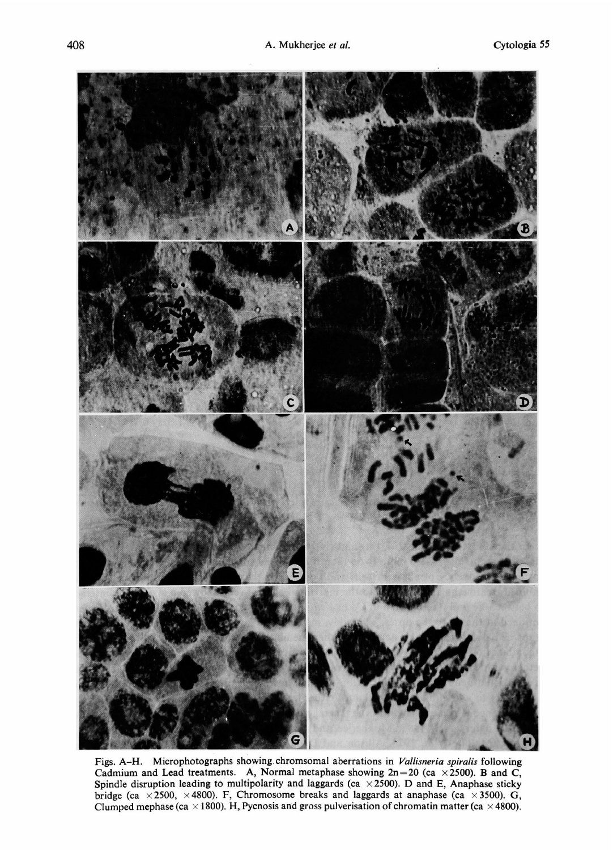

Figs. A-H. Microphotographs showing chromsomal aberrations in Vallisneria spiralis following Cadmium and Lead treatments. A, Normal metaphase showing  $2n=20$  (ca  $\times 2500$ ). B and C, Spindle disruption leading to multipolarity and laggards (ca  $\times$  2500). D and E, Anaphase sticky bridge (ca  $\times$ 2500,  $\times$ 4800). F, Chromosome breaks and laggards at anaphase (ca  $\times$ 3500). G, Clumped mephase (ca  $\times$  1800). H, Pycnosis and gross pulverisation of chromatin matter (ca  $\times$  4800).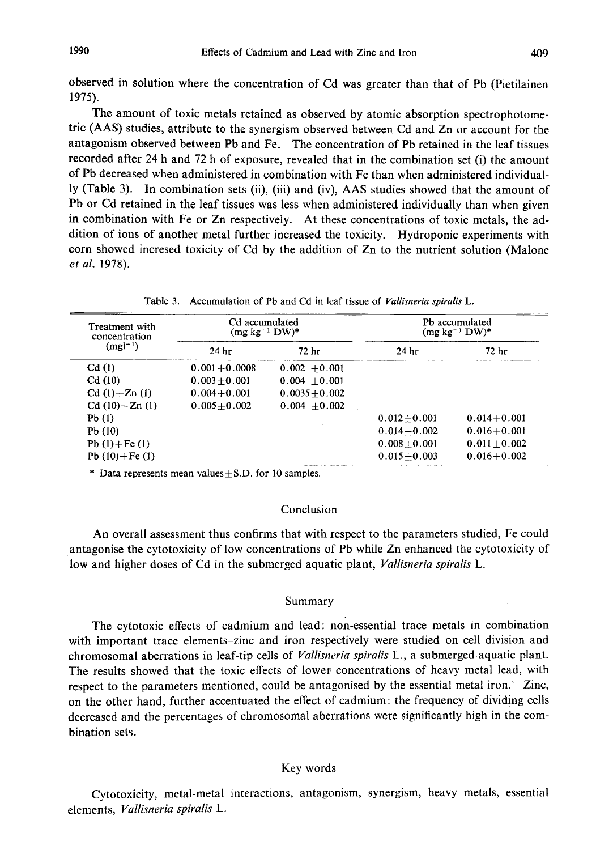observed in solution where the concentration of Cd was greater than that of Pb (Pietilainen 1975).

The amount of toxic metals retained as observed by atomic absorption spectrophotome tric (AAS) studies, attribute to the synergism observed between Cd and Zn or account for the antagonism observed between Pb and Fe. The concentration of Pb retained in the leaf tissues recorded after 24h and 72h of exposure, revealed that in the combination set (i) the amount of Pb decreased when administered in combination with Fe than when administered individual ly (Table 3). In combination sets (ii), (iii) and (iv), AAS studies showed that the amount of Pb or Cd retained in the leaf tissues was less when administered individually than when given in combination with Fe or Zn respectively. At these concentrations of toxic metals, the ad dition of ions of another metal further increased the toxicity. Hydroponic experiments with corn showed incresed toxicity of Cd by the addition of Zn to the nutrient solution (Malone et al. 1978).

| Table 3. Accumulation of Pb and Cd in leaf tissue of Vallisneria spiralis L |  |  |  |  |
|-----------------------------------------------------------------------------|--|--|--|--|
|                                                                             |  |  |  |  |

| Treatment with<br>concentration | Cd accumulated<br>$(mg kg^{-1} DW)^*$ |                  | Pb accumulated<br>$(mg kg^{-1} DW)^*$ |                  |  |
|---------------------------------|---------------------------------------|------------------|---------------------------------------|------------------|--|
| $(mgl^{-1})$                    | 72 hr<br>24 <sub>hr</sub>             |                  | 24 <sub>hr</sub>                      | 72 <sub>hr</sub> |  |
| Cd(1)                           | $0.001 + 0.0008$                      | $0.002 + 0.001$  |                                       |                  |  |
| Cd(10)                          | $0.003 + 0.001$                       | $0.004 + 0.001$  |                                       |                  |  |
| $Cd(1) + Zn(1)$                 | $0.004 + 0.001$                       | $0.0035 + 0.002$ |                                       |                  |  |
| $Cd(10)+Zn(1)$                  | $0.005 + 0.002$                       | $0.004 + 0.002$  |                                       |                  |  |
| Pb(1)                           |                                       |                  | $0.012 + 0.001$                       | $0.014 + 0.001$  |  |
| Pb(10)                          |                                       |                  | $0.014 + 0.002$                       | $0.016 + 0.001$  |  |
| Pb $(1) + Fe(1)$                |                                       |                  | $0.008 + 0.001$                       | $0.011 + 0.002$  |  |
| Pb $(10) + Fe(1)$               |                                       |                  | $0.015 + 0.003$                       | $0.016 + 0.002$  |  |

\* Data represents mean values $\pm$ S.D. for 10 samples.

### Conclusion

An overall assessment thus confirms that with respect to the parameters studied, Fe could antagonise the cytotoxicity of low concentrations of Pb while Zn enhanced the cytotoxicity of low and higher doses of Cd in the submerged aquatic plant, Vallisneria spiralis L.

#### Summary

The cytotoxic effects of cadmium and lead: non-essential trace metals in combination with important trace elements-zinc and iron respectively were studied on cell division and chromosomal aberrations in leaf-tip cells of Vallisneria spiralis L., a submerged aquatic plant. The results showed that the toxic effects of lower concentrations of heavy metal lead, with respect to the parameters mentioned, could be antagonised by the essential metal iron. Zinc, on the other hand, further accentuated the effect of cadmium: the frequency of dividing cells decreased and the percentages of chromosomal aberrations were significantly high in the com bination sets.

#### Key words

Cytotoxicity, metal-metal interactions, antagonism, synergism, heavy metals, essential elements, Vallisneria spiralis L.